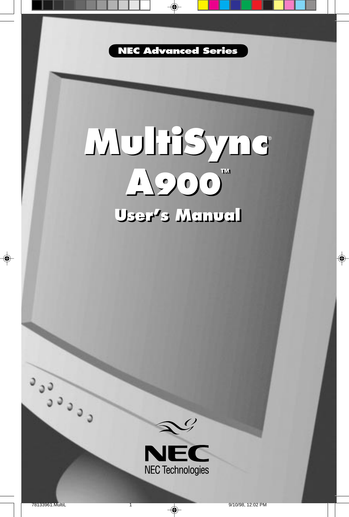

◈

### **MultiSync A900™ User's Manual User's Manual MultiSync**® **A900™**



Ceces

◈

9/10/98, 12:02 PM

 $\bf \Phi$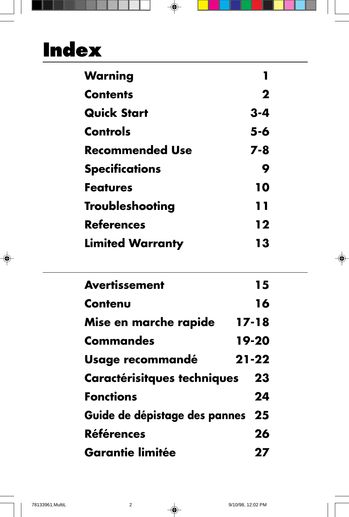# **Index**

| Warning                 |             |
|-------------------------|-------------|
| <b>Contents</b>         | $\mathbf 2$ |
| <b>Quick Start</b>      | $3 - 4$     |
| <b>Controls</b>         | 5-6         |
| <b>Recommended Use</b>  | 7-8         |
| <b>Specifications</b>   | 9           |
| <b>Features</b>         | 10          |
| <b>Troubleshooting</b>  | 11          |
| <b>References</b>       | 12          |
| <b>Limited Warranty</b> | 13          |

 $\Box$ 

 $\Rightarrow$ 

T

| <b>Avertissement</b>               | 15        |
|------------------------------------|-----------|
| Contenu                            | 16        |
| Mise en marche rapide              | $17 - 18$ |
| <b>Commandes</b>                   | 19-20     |
| Usage recommandé                   | $21 - 22$ |
| <b>Caractérisitques techniques</b> | 23        |
| <b>Fonctions</b>                   | 24        |
| Guide de dépistage des pannes      | 25        |
| <b>Références</b>                  | 26        |
| <b>Garantie limitée</b>            |           |

 $\color{red}\blacklozenge$ 

 $\color{black}\blacklozenge$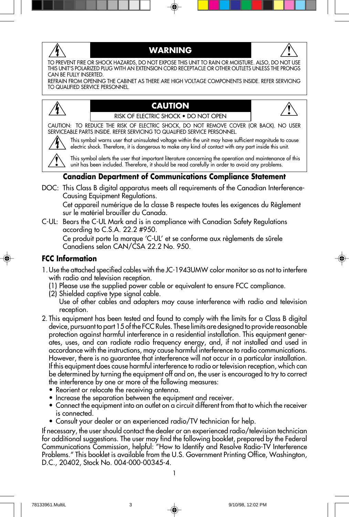

#### **WARNING**



TO PREVENT FIRE OR SHOCK HAZARDS, DO NOT EXPOSE THIS UNIT TO RAIN OR MOISTURE. ALSO, DO NOT USE THIS UNIT'S POLARIZED PLUG WITH AN EXTENSION CORD RECEPTACLE OR OTHER OUTLETS UNLESS THE PRONGS CAN BE FULLY INSERTED.

REFRAIN FROM OPENING THE CABINET AS THERE ARE HIGH VOLTAGE COMPONENTS INSIDE. REFER SERVICING TO QUALIFIED SERVICE PERSONNEL.



#### **CAUTION** RISK OF ELECTRIC SHOCK • DO NOT OPEN



CAUTION: TO REDUCE THE RISK OF ELECTRIC SHOCK, DO NOT REMOVE COVER (OR BACK). NO USER SERVICEABLE PARTS INSIDE. REFER SERVICING TO QUALIFIED SERVICE PERSONNEL.



This symbol warns user that uninsulated voltage within the unit may have sufficient magnitude to cause electric shock. Therefore, it is dangerous to make any kind of contact with any part inside this unit.

This symbol alerts the user that important literature concerning the operation and maintenance of this unit has been included. Therefore, it should be read carefully in order to avoid any problems.

#### **Canadian Department of Communications Compliance Statement**

DOC: This Class B digital apparatus meets all requirements of the Canadian Interference-Causing Equipment Regulations.

Cet appareil numérique de la classe B respecte toutes les exigences du Règlement sur le matériel brouiller du Canada.

C-UL: Bears the C-UL Mark and is in compliance with Canadian Safety Regulations according to C.S.A. 22.2 #950.

Ce produit porte la marque 'C-UL' et se conforme aux règlements de sûrele Canadiens selon CAN/CSA 22.2 No. 950.

#### **FCC Information**

- 1.Use the attached specified cables with the JC-1943UMW color monitor so as not to interfere with radio and television reception.
	- (1) Please use the supplied power cable or equivalent to ensure FCC compliance.
	- (2) Shielded captive type signal cable.
		- Use of other cables and adapters may cause interference with radio and television reception.
- 2. This equipment has been tested and found to comply with the limits for a Class B digital device, pursuant to part 15 of the FCC Rules. These limits are designed to provide reasonable protection against harmful interference in a residential installation. This equipment generates, uses, and can radiate radio frequency energy, and, if not installed and used in accordance with the instructions, may cause harmful interference to radio communications. However, there is no guarantee that interference will not occur in a particular installation. If this equipment does cause harmful interference to radio or television reception, which can be determined by turning the equipment off and on, the user is encouraged to try to correct the interference by one or more of the following measures:
	- Reorient or relocate the receiving antenna.
	- Increase the separation between the equipment and receiver.
	- Connect the equipment into an outlet on a circuit different from that to which the receiver is connected.
	- Consult your dealer or an experienced radio/TV technician for help.

If necessary, the user should contact the dealer or an experienced radio/television technician for additional suggestions. The user may find the following booklet, prepared by the Federal Communications Commission, helpful: "How to Identify and Resolve Radio-TV Interference Problems." This booklet is available from the U.S. Government Printing Office, Washington, D.C., 20402, Stock No. 004-000-00345-4.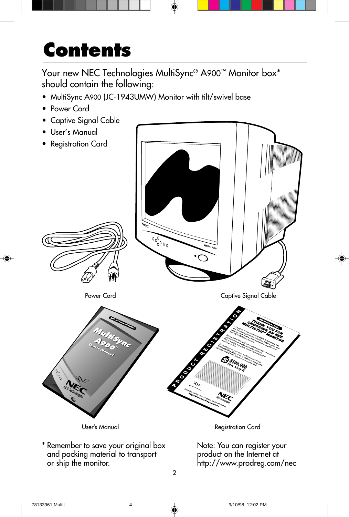## **Contents**

Your new NEC Technologies MultiSync® A900™ Monitor box<sup>\*</sup> should contain the following:

- MultiSync A900 (JC-1943UMW) Monitor with tilt/swivel base
- Power Cord
- Captive Signal Cable
- User's Manual
- 



2

\* Remember to save your original box and packing material to transport or ship the monitor.

Note: You can register your product on the Internet at http://www.prodreg.com/nec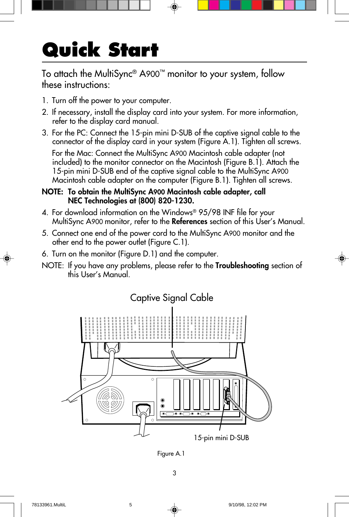# **Quick Start**

To attach the MultiSync® A900™ monitor to your system, follow these instructions:

- 1. Turn off the power to your computer.
- 2. If necessary, install the display card into your system. For more information, refer to the display card manual.
- 3. For the PC: Connect the 15-pin mini D-SUB of the captive signal cable to the connector of the display card in your system (Figure A.1). Tighten all screws.

For the Mac: Connect the MultiSync A900 Macintosh cable adapter (not included) to the monitor connector on the Macintosh (Figure B.1). Attach the 15-pin mini D-SUB end of the captive signal cable to the MultiSync A900 Macintosh cable adapter on the computer (Figure B.1). Tighten all screws.

#### **NOTE: To obtain the MultiSync A900 Macintosh cable adapter, call NEC Technologies at (800) 820-1230.**

- 4. For download information on the Windows® 95/98 INF file for your MultiSync A900 monitor, refer to the **References** section of this User's Manual.
- 5. Connect one end of the power cord to the MultiSync A900 monitor and the other end to the power outlet (Figure C.1).
- 6. Turn on the monitor (Figure D.1) and the computer.
- NOTE: If you have any problems, please refer to the **Troubleshooting** section of this User's Manual.



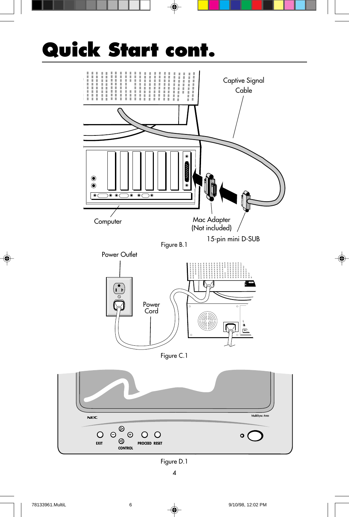

◈

 $\bf \Phi$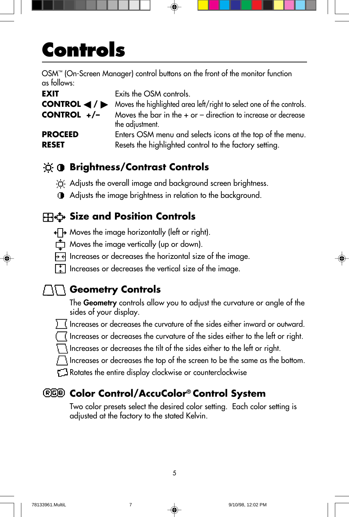## **Controls**

OSM™ (On-Screen Manager) control buttons on the front of the monitor function as follows:

| <b>EXIT</b>                                          | Exits the OSM controls.                                                              |
|------------------------------------------------------|--------------------------------------------------------------------------------------|
| CONTROL $\blacktriangleleft$ / $\blacktriangleright$ | Moves the highlighted area left/right to select one of the controls.                 |
| CONTROL $+/-$                                        | Moves the bar in the $+$ or $-$ direction to increase or decrease<br>the adjustment. |
| <b>PROCEED</b><br><b>RESET</b>                       | Enters OSM menu and selects icons at the top of the menu.                            |
|                                                      | Resets the highlighted control to the factory setting.                               |

### **<b>Brightness/Contrast Controls**

in Adjusts the overall image and background screen brightness.

Adjusts the image brightness in relation to the background.

### **Size and Position Controls**

- $\overline{+}\overline{+}$  Moves the image horizontally (left or right).
- $\overrightarrow{C}$  Moves the image vertically (up or down).
- $\overline{P}$  Increases or decreases the horizontal size of the image.
- $\lceil \frac{1}{k} \rceil$  Increases or decreases the vertical size of the image.

### **Geometry Controls**

The **Geometry** controls allow you to adjust the curvature or angle of the sides of your display.

- Increases or decreases the curvature of the sides either inward or outward.
- Increases or decreases the curvature of the sides either to the left or right.

Increases or decreases the tilt of the sides either to the left or right.

Increases or decreases the top of the screen to be the same as the bottom.

**T** Rotates the entire display clockwise or counterclockwise

### **Color Control/AccuColor® Control System**

Two color presets select the desired color setting. Each color setting is adjusted at the factory to the stated Kelvin.

5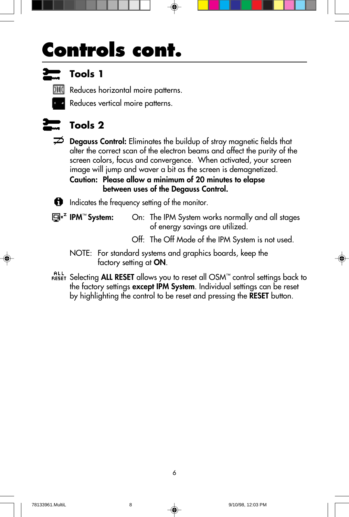## **Controls cont.**



### **Tools 1**

**MII** Reduces horizontal moire patterns.

Reduces vertical moire patterns.



### **Tools 2**

**Degauss Control:** Eliminates the buildup of stray magnetic fields that alter the correct scan of the electron beams and affect the purity of the screen colors, focus and convergence. When activated, your screen image will jump and waver a bit as the screen is demagnetized.

**Caution: Please allow a minimum of 20 minutes to elapse between uses of the Degauss Control.**

Indicates the frequency setting of the monitor.

**IPM**™ **System:** On: The IPM System works normally and all stages of energy savings are utilized.

- Off: The Off Mode of the IPM System is not used.
- NOTE: For standard systems and graphics boards, keep the factory setting at **ON**.
- Selecting **ALL RESET** allows you to reset all OSM™ control settings back to the factory settings **except IPM System**. Individual settings can be reset by highlighting the control to be reset and pressing the **RESET** button.

6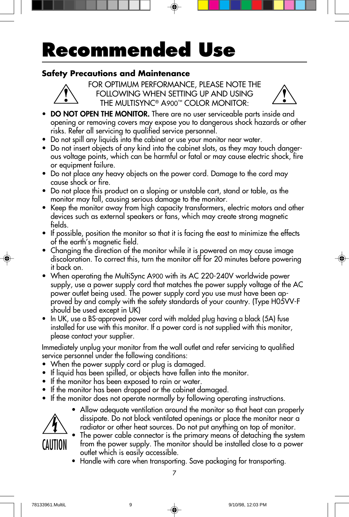## **Recommended Use**

#### **Safety Precautions and Maintenance**



FOR OPTIMUM PERFORMANCE, PLEASE NOTE THE FOLLOWING WHEN SETTING UP AND USING THE MULTISYNC® A900™ COLOR MONITOR:



- **DO NOT OPEN THE MONITOR.** There are no user serviceable parts inside and opening or removing covers may expose you to dangerous shock hazards or other risks. Refer all servicing to qualified service personnel.
- **•** Do not spill any liquids into the cabinet or use your monitor near water.
- **•** Do not insert objects of any kind into the cabinet slots, as they may touch dangerous voltage points, which can be harmful or fatal or may cause electric shock, fire or equipment failure.
- **•** Do not place any heavy objects on the power cord. Damage to the cord may cause shock or fire.
- **•** Do not place this product on a sloping or unstable cart, stand or table, as the monitor may fall, causing serious damage to the monitor.
- **•** Keep the monitor away from high capacity transformers, electric motors and other devices such as external speakers or fans, which may create strong magnetic fields.
- **•** If possible, position the monitor so that it is facing the east to minimize the effects of the earth's magnetic field.
- **•** Changing the direction of the monitor while it is powered on may cause image discoloration. To correct this, turn the monitor off for 20 minutes before powering it back on.
- **•** When operating the MultiSync A900 with its AC 220-240V worldwide power supply, use a power supply cord that matches the power supply voltage of the AC power outlet being used. The power supply cord you use must have been approved by and comply with the safety standards of your country. (Type H05VV-F should be used except in UK)
- **•** In UK, use a BS-approved power cord with molded plug having a black (5A) fuse installed for use with this monitor. If a power cord is not supplied with this monitor, please contact your supplier.

Immediately unplug your monitor from the wall outlet and refer servicing to qualified service personnel under the following conditions:

- **•** When the power supply cord or plug is damaged.
- **•** If liquid has been spilled, or objects have fallen into the monitor.
- **•** If the monitor has been exposed to rain or water.
- **•** If the monitor has been dropped or the cabinet damaged.
- **•** If the monitor does not operate normally by following operating instructions.



- **•** Allow adequate ventilation around the monitor so that heat can properly dissipate. Do not block ventilated openings or place the monitor near a radiator or other heat sources. Do not put anything on top of monitor.
- **•** The power cable connector is the primary means of detaching the system from the power supply. The monitor should be installed close to a power outlet which is easily accessible.
- **•** Handle with care when transporting. Save packaging for transporting.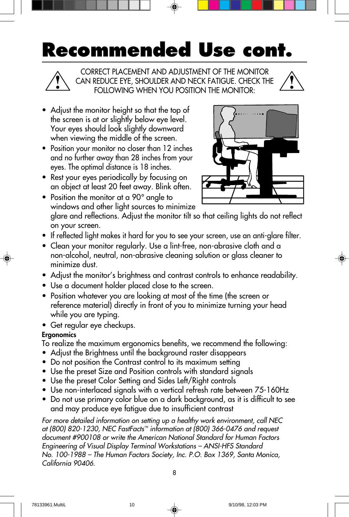## **Recommended Use cont.**

CORRECT PLACEMENT AND ADJUSTMENT OF THE MONITOR CAN REDUCE EYE, SHOULDER AND NECK FATIGUE. CHECK THE FOLLOWING WHEN YOU POSITION THE MONITOR:

- **•** Adjust the monitor height so that the top of the screen is at or slightly below eye level. Your eyes should look slightly downward when viewing the middle of the screen.
- **•** Position your monitor no closer than 12 inches and no further away than 28 inches from your eyes. The optimal distance is 18 inches.
- **•** Rest your eyes periodically by focusing on an object at least 20 feet away. Blink often.

**•** Position the monitor at a 90° angle to



- windows and other light sources to minimize glare and reflections. Adjust the monitor tilt so that ceiling lights do not reflect on your screen.
- **•** If reflected light makes it hard for you to see your screen, use an anti-glare filter.
- **•** Clean your monitor regularly. Use a lint-free, non-abrasive cloth and a non-alcohol, neutral, non-abrasive cleaning solution or glass cleaner to minimize dust.
- Adjust the monitor's brightness and contrast controls to enhance readability.
- **•** Use a document holder placed close to the screen.
- **•** Position whatever you are looking at most of the time (the screen or reference material) directly in front of you to minimize turning your head while you are typing.
- **•** Get regular eye checkups.

#### **Ergonomics**

To realize the maximum ergonomics benefits, we recommend the following:

- Adjust the Brightness until the background raster disappears
- Do not position the Contrast control to its maximum setting
- Use the preset Size and Position controls with standard signals
- Use the preset Color Setting and Sides Left/Right controls
- Use non-interlaced signals with a vertical refresh rate between 75-160Hz
- Do not use primary color blue on a dark background, as it is difficult to see and may produce eye fatigue due to insufficient contrast

For more detailed information on setting up a healthy work environment, call NEC at (800) 820-1230, NEC FastFacts™ information at (800) 366-0476 and request document #900108 or write the American National Standard for Human Factors Engineering of Visual Display Terminal Workstations – ANSI-HFS Standard No. 100-1988 – The Human Factors Society, Inc. P.O. Box 1369, Santa Monica, California 90406.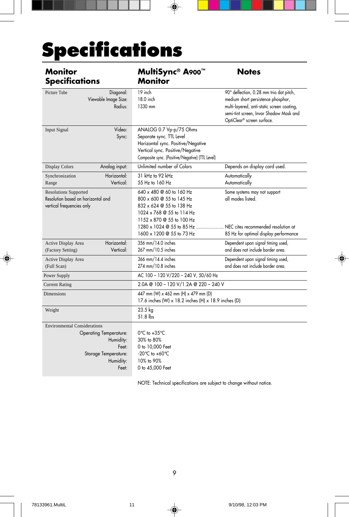# **Specifications**

| <b>Monitor</b><br><b>Specifications</b>                                                                                                  | MultiSync® A900™<br><b>Monitor</b>                                                                                                                                               | <b>Notes</b>                                                                                                                                                                                         |
|------------------------------------------------------------------------------------------------------------------------------------------|----------------------------------------------------------------------------------------------------------------------------------------------------------------------------------|------------------------------------------------------------------------------------------------------------------------------------------------------------------------------------------------------|
| Picture Tube<br>Diagonal:<br>Viewable Image Size:<br>Radius:                                                                             | 19 inch<br>18.0 inch<br>1330 mm                                                                                                                                                  | 90° deflection, 0.28 mm trio dot pitch,<br>medium short persistence phosphor,<br>multi-layered, anti-static screen coating,<br>semi-tint screen, Invar Shadow Mask and<br>OptiClear® screen surface. |
| Video:<br><b>Input Signal</b><br>Sync:                                                                                                   | ANALOG 0.7 Vp-p/75 Ohms<br>Separate sync. TTL Level<br>Horizontal sync. Positive/Negative<br>Vertical sync. Positive/Negative<br>Composite sync. (Positive/Negative) (TTL Level) |                                                                                                                                                                                                      |
| <b>Display Colors</b><br>Analog input:                                                                                                   | Unlimited number of Colors                                                                                                                                                       | Depends on display card used.                                                                                                                                                                        |
| Horizontal:<br>Synchronization<br>Vertical:<br>Range                                                                                     | 31 kHz to 92 kHz<br>55 Hz to 160 Hz                                                                                                                                              | Automatically<br>Automatically                                                                                                                                                                       |
| <b>Resolutions Supported</b><br>Resolution based on horizontal and<br>vertical frequencies only                                          | 640 x 480 @ 60 to 160 Hz<br>800 x 600 @ 55 to 145 Hz<br>832 x 624 @ 55 to 138 Hz<br>1024 x 768 @ 55 to 114 Hz<br>1152 x 870 @ 55 to 100 Hz                                       | Some systems may not support<br>all modes listed.                                                                                                                                                    |
|                                                                                                                                          | 1280 x 1024 @ 55 to 85 Hz<br>1600 x 1200 @ 55 to 73 Hz                                                                                                                           | NEC cites recommended resolution at<br>85 Hz for optimal display performance                                                                                                                         |
| Horizontal:<br>Active Display Area<br>Vertical:<br>(Factory Setting)                                                                     | 356 mm/14.0 inches<br>267 mm/10.5 inches                                                                                                                                         | Dependent upon signal timing used,<br>and does not include border area.                                                                                                                              |
| Active Display Area<br>(Full Scan)                                                                                                       | 366 mm/14.4 inches<br>274 mm/10.8 inches                                                                                                                                         | Dependent upon signal timing used,<br>and does not include border area.                                                                                                                              |
| Power Supply                                                                                                                             | AC 100 - 120 V/220 - 240 V, 50/60 Hz                                                                                                                                             |                                                                                                                                                                                                      |
| <b>Current Rating</b>                                                                                                                    | 2.0A @ 100 - 120 V/1.2A @ 220 - 240 V                                                                                                                                            |                                                                                                                                                                                                      |
| <b>Dimensions</b>                                                                                                                        | 447 mm (W) x 462 mm (H) x 479 mm (D)<br>17.6 inches (W) x 18.2 inches (H) x 18.9 inches (D)                                                                                      |                                                                                                                                                                                                      |
| Weight                                                                                                                                   | 23.5 kg<br>51.8 lbs                                                                                                                                                              |                                                                                                                                                                                                      |
| <b>Environmental Considerations</b><br><b>Operating Temperature:</b><br>Humidity:<br>Feet:<br>Storage Temperature:<br>Humidity:<br>Feet: | $0^{\circ}$ C to +35 $^{\circ}$ C<br>30% to 80%<br>0 to 10,000 Feet<br>$-20^{\circ}$ C to $+60^{\circ}$ C<br>10% to 90%<br>0 to 45,000 Feet                                      |                                                                                                                                                                                                      |

⊕

NOTE: Technical specifications are subject to change without notice.

9

◈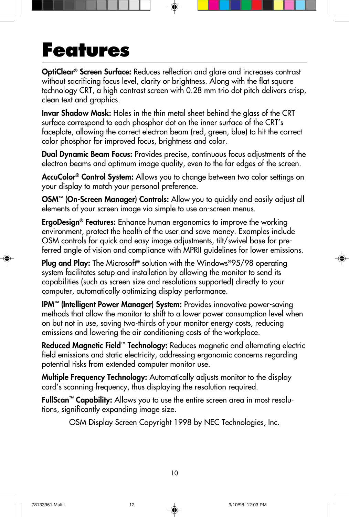### **Features**

**OptiClear® Screen Surface:** Reduces reflection and glare and increases contrast without sacrificing focus level, clarity or brightness. Along with the flat square technology CRT, a high contrast screen with 0.28 mm trio dot pitch delivers crisp, clean text and graphics.

**Invar Shadow Mask:** Holes in the thin metal sheet behind the glass of the CRT surface correspond to each phosphor dot on the inner surface of the CRT's faceplate, allowing the correct electron beam (red, green, blue) to hit the correct color phosphor for improved focus, brightness and color.

**Dual Dynamic Beam Focus:** Provides precise, continuous focus adjustments of the electron beams and optimum image quality, even to the far edges of the screen.

**AccuColor® Control System:** Allows you to change between two color settings on your display to match your personal preference.

**OSM™ (On-Screen Manager) Controls:** Allow you to quickly and easily adjust all elements of your screen image via simple to use on-screen menus.

**ErgoDesign® Features:** Enhance human ergonomics to improve the working environment, protect the health of the user and save money. Examples include OSM controls for quick and easy image adjustments, tilt/swivel base for preferred angle of vision and compliance with MPRII guidelines for lower emissions.

**Plug and Play:** The Microsoft**®** solution with the Windows**®**95/98 operating system facilitates setup and installation by allowing the monitor to send its capabilities (such as screen size and resolutions supported) directly to your computer, automatically optimizing display performance.

**IPM™ (Intelligent Power Manager) System:** Provides innovative power-saving methods that allow the monitor to shift to a lower power consumption level when on but not in use, saving two-thirds of your monitor energy costs, reducing emissions and lowering the air conditioning costs of the workplace.

**Reduced Magnetic Field™ Technology:** Reduces magnetic and alternating electric field emissions and static electricity, addressing ergonomic concerns regarding potential risks from extended computer monitor use.

**Multiple Frequency Technology:** Automatically adjusts monitor to the display card's scanning frequency, thus displaying the resolution required.

**FullScan™ Capability:** Allows you to use the entire screen area in most resolutions, significantly expanding image size.

OSM Display Screen Copyright 1998 by NEC Technologies, Inc.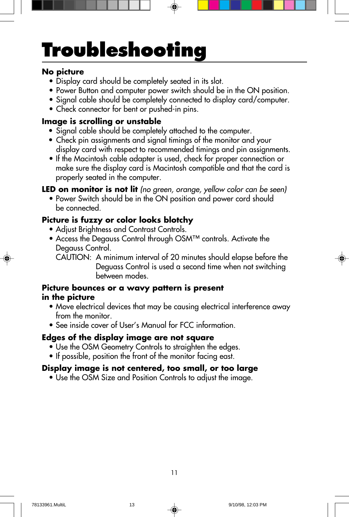# **Troubleshooting**

#### **No picture**

- Display card should be completely seated in its slot.
- Power Button and computer power switch should be in the ON position.
- Signal cable should be completely connected to display card/computer.
- Check connector for bent or pushed-in pins.

#### **Image is scrolling or unstable**

- Signal cable should be completely attached to the computer.
- Check pin assignments and signal timings of the monitor and your display card with respect to recommended timings and pin assignments.
- If the Macintosh cable adapter is used, check for proper connection or make sure the display card is Macintosh compatible and that the card is properly seated in the computer.

**LED on monitor is not lit** (no green, orange, yellow color can be seen)

• Power Switch should be in the ON position and power cord should be connected.

### **Picture is fuzzy or color looks blotchy**

- Adjust Brightness and Contrast Controls.
- Access the Degauss Control through OSM™ controls. Activate the Degauss Control.
	- CAUTION: A minimum interval of 20 minutes should elapse before the Deguass Control is used a second time when not switching between modes.

#### **Picture bounces or a wavy pattern is present in the picture**

- Move electrical devices that may be causing electrical interference away from the monitor.
- See inside cover of User's Manual for FCC information.

#### **Edges of the display image are not square**

- Use the OSM Geometry Controls to straighten the edges.
- If possible, position the front of the monitor facing east.

#### **Display image is not centered, too small, or too large**

• Use the OSM Size and Position Controls to adjust the image.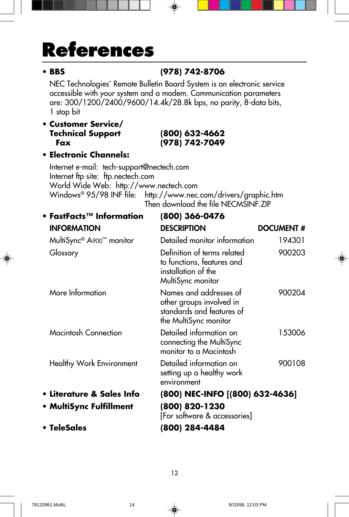## **References**

### **• BBS (978) 742-8706**

NEC Technologies' Remote Bulletin Board System is an electronic service accessible with your system and a modem. Communication parameters are: 300/1200/2400/9600/14.4k/28.8k bps, no parity, 8-data bits, 1 stop bit

#### **• Customer Service/ Technical Support (800) 632-4662 Fax (978) 742-7049**

#### **• Electronic Channels:**

Internet e-mail: tech-support@nectech.com Internet ftp site: ftp.nectech.com World Wide Web: http://www.nectech.com Windows® 95/98 INF file: http://www.nec.com/drivers/graphic.htm Then download the file NECMSINF.ZIP

| • FastFacts™ Information        | (800) 366-0476                                                                                           |                   |
|---------------------------------|----------------------------------------------------------------------------------------------------------|-------------------|
| <b>INFORMATION</b>              | <b>DESCRIPTION</b>                                                                                       | <b>DOCUMENT #</b> |
| MultiSync® A900™ monitor        | Detailed monitor information                                                                             | 194301            |
| Glossary                        | Definition of terms related<br>to functions, features and<br>installation of the<br>MultiSync monitor    | 900203            |
| More Information                | Names and addresses of<br>other groups involved in<br>standards and features of<br>the MultiSync monitor | 900204            |
| Macintosh Connection            | Detailed information on<br>connecting the MultiSync<br>monitor to a Macintosh                            | 153006            |
| <b>Healthy Work Environment</b> | Detailed information on<br>setting up a healthy work<br>environment                                      | 900108            |
| • Literature & Sales Info       | (800) NEC-INFO [(800) 632-4636]                                                                          |                   |
| • MultiSync Fulfillment         | (800) 820-1230<br>[For software & accessories]                                                           |                   |
| • TeleSales                     | (800) 284-4484                                                                                           |                   |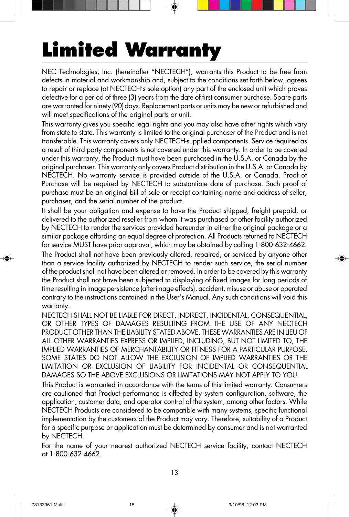## **Limited Warranty**

NEC Technologies, Inc. (hereinafter "NECTECH"), warrants this Product to be free from defects in material and workmanship and, subject to the conditions set forth below, agrees to repair or replace (at NECTECH's sole option) any part of the enclosed unit which proves defective for a period of three (3) years from the date of first consumer purchase. Spare parts are warranted for ninety (90) days. Replacement parts or units may be new or refurbished and will meet specifications of the original parts or unit.

This warranty gives you specific legal rights and you may also have other rights which vary from state to state. This warranty is limited to the original purchaser of the Product and is not transferable. This warranty covers only NECTECH-supplied components. Service required as a result of third party components is not covered under this warranty. In order to be covered under this warranty, the Product must have been purchased in the U.S.A. or Canada by the original purchaser. This warranty only covers Product distribution in the U.S.A. or Canada by NECTECH. No warranty service is provided outside of the U.S.A. or Canada. Proof of Purchase will be required by NECTECH to substantiate date of purchase. Such proof of purchase must be an original bill of sale or receipt containing name and address of seller, purchaser, and the serial number of the product.

It shall be your obligation and expense to have the Product shipped, freight prepaid, or delivered to the authorized reseller from whom it was purchased or other facility authorized by NECTECH to render the services provided hereunder in either the original package or a similar package affording an equal degree of protection. All Products returned to NECTECH for service MUST have prior approval, which may be obtained by calling 1-800-632-4662. The Product shall not have been previously altered, repaired, or serviced by anyone other than a service facility authorized by NECTECH to render such service, the serial number of the product shall not have been altered or removed. In order to be covered by this warranty the Product shall not have been subjected to displaying of fixed images for long periods of time resulting in image persistence (afterimage effects), accident, misuse or abuse or operated contrary to the instructions contained in the User's Manual. Any such conditions will void this warranty.

NECTECH SHALL NOT BE LIABLE FOR DIRECT, INDIRECT, INCIDENTAL, CONSEQUENTIAL, OR OTHER TYPES OF DAMAGES RESULTING FROM THE USE OF ANY NECTECH PRODUCT OTHER THAN THE LIABILITY STATED ABOVE. THESE WARRANTIES ARE IN LIEU OF ALL OTHER WARRANTIES EXPRESS OR IMPLIED, INCLUDING, BUT NOT LIMITED TO, THE IMPLIED WARRANTIES OF MERCHANTABILITY OR FITNESS FOR A PARTICULAR PURPOSE. SOME STATES DO NOT ALLOW THE EXCLUSION OF IMPLIED WARRANTIES OR THE LIMITATION OR EXCLUSION OF LIABILITY FOR INCIDENTAL OR CONSEQUENTIAL DAMAGES SO THE ABOVE EXCLUSIONS OR LIMITATIONS MAY NOT APPLY TO YOU.

This Product is warranted in accordance with the terms of this limited warranty. Consumers are cautioned that Product performance is affected by system configuration, software, the application, customer data, and operator control of the system, among other factors. While NECTECH Products are considered to be compatible with many systems, specific functional implementation by the customers of the Product may vary. Therefore, suitability of a Product for a specific purpose or application must be determined by consumer and is not warranted by NECTECH.

For the name of your nearest authorized NECTECH service facility, contact NECTECH at 1-800-632-4662.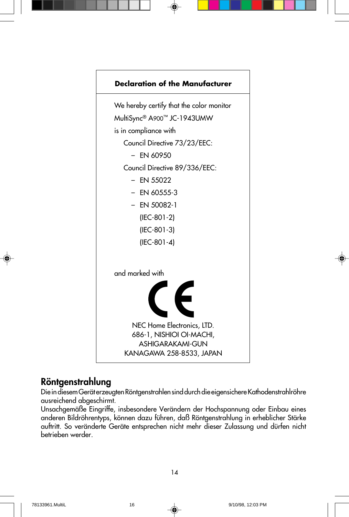

### **Röntgenstrahlung**

Die in diesem Gerät erzeugten Röntgenstrahlen sind durch die eigensichere Kathodenstrahlröhre ausreichend abgeschirmt.

Unsachgemäße Eingriffe, insbesondere Verändern der Hochspannung oder Einbau eines anderen Bildröhrentyps, können dazu führen, daß Röntgenstrahlung in erheblicher Stärke auftritt. So veränderte Geräte entsprechen nicht mehr dieser Zulassung und dürfen nicht betrieben werder.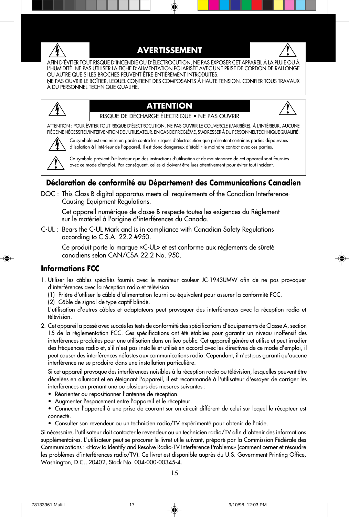

#### **AVERTISSEMENT**



AFIN D'ÉVITER TOUT RISQUE D'INCENDIE OU D'ÉLECTROCUTION, NE PAS EXPOSER CET APPAREIL À LA PLUIE OU À L'HUMIDITÉ. NE PAS UTILISER LA FICHE D'ALIMENTATION POLARISÉE AVEC UNE PRISE DE CORDON DE RALLONGE OU AUTRE QUE SI LES BROCHES PEUVENT ÊTRE ENTIÈREMENT INTRODUITES.

NE PAS OUVRIR LE BOÎTIER, LEQUEL CONTIENT DES COMPOSANTS À HAUTE TENSION. CONFIER TOUS TRAVAUX À DU PERSONNEL TECHNIQUE QUALIFIÉ.

#### **ATTENTION**



RISQUE DE DÉCHARGE ÉLECTRIQUE • NE PAS OUVRIR

ATTENTION : POUR ÉVITER TOUT RISQUE D'ÉLECTROCUTION, NE PAS OUVRIR LE COUVERCLE (L'ARRIÈRE). À L'INTÉRIEUR, AUCUNE PIÈCE NE NÉCESSITE L'INTERVENTION DE L'UTILISATEUR. EN CAS DE PROBLÈME, S'ADRESSER À DU PERSONNEL TECHNIQUE QUALIFIÉ.



Ce symbole est une mise en garde contre les risques d'électrocution que présentent certaines parties dépourvues d'isolation à l'intérieur de l'appareil. Il est donc dangereux d'établir le moindre contact avec ces parties.

Ce symbole prévient l'utilisateur que des instructions d'utilisation et de maintenance de cet appareil sont fournies avec ce mode d'emploi. Par conséquent, celles-ci doivent être lues attentivement pour éviter tout incident.

#### **Déclaration de conformité au Département des Communications Canadien**

DOC : This Class B digital apparatus meets all requirements of the Canadian Interference-Causing Equipment Regulations.

Cet appareil numérique de classe B respecte toutes les exigences du Règlement sur le matériel à l'origine d'interférences du Canada.

C-UL : Bears the C-UL Mark and is in compliance with Canadian Safety Regulations according to C.S.A. 22.2 #950.

Ce produit porte la marque «C-UL» et est conforme aux règlements de sûreté canadiens selon CAN/CSA 22.2 No. 950.

#### **Informations FCC**

- 1. Utiliser les câbles spécifiés fournis avec le moniteur couleur JC-1943UMW afin de ne pas provoquer d'interférences avec la réception radio et télévision.
	- (1) Prière d'utiliser le câble d'alimentation fourni ou équivalent pour assurer la conformité FCC.
	- (2) Câble de signal de type captif blindé.

L'utilisation d'autres câbles et adaptateurs peut provoquer des interférences avec la réception radio et télévision.

2. Cet appareil a passé avec succès les tests de conformité des spécifications d'équipements de Classe A, section 15 de la réglementation FCC. Ces spécifications ont été établies pour garantir un niveau inoffensif des interférences produites pour une utilisation dans un lieu public. Cet appareil génère et utilise et peut irradier des fréquences radio et, s'il n'est pas installé et utilisé en accord avec les directives de ce mode d'emploi, il peut causer des interférences néfastes aux communications radio. Cependant, il n'est pas garanti qu'aucune interférence ne se produira dans une installation particulière.

Si cet appareil provoque des interférences nuisibles à la réception radio ou télévision, lesquelles peuvent être décelées en allumant et en éteignant l'appareil, il est recommandé à l'utilisateur d'essayer de corriger les interférences en prenant une ou plusieurs des mesures suivantes :

- Réorienter ou repositionner l'antenne de réception.
- Augmenter l'espacement entre l'appareil et le récepteur.
- Connecter l'appareil à une prise de courant sur un circuit différent de celui sur lequel le récepteur est connecté.
- Consulter son revendeur ou un technicien radio/TV expérimenté pour obtenir de l'aide.

Si nécessaire, l'utilisateur doit contacter le revendeur ou un technicien radio/TV afin d'obtenir des informations supplémentaires. L'utilisateur peut se procurer le livret utile suivant, préparé par la Commission Fédérale des Communications : «How to Identify and Resolve Radio-TV Interference Problems» (comment cerner et résoudre les problèmes d'interférences radio/TV). Ce livret est disponible auprès du U.S. Government Printing Office, Washington, D.C., 20402, Stock No. 004-000-00345-4.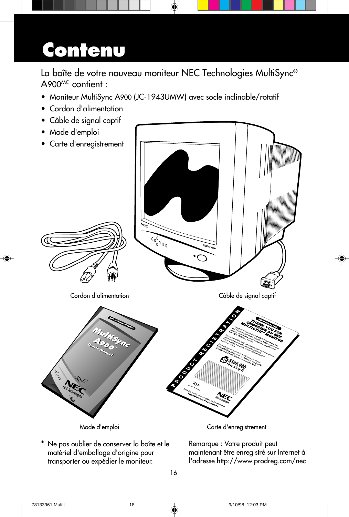## **Contenu**

La boîte de votre nouveau moniteur NEC Technologies MultiSync® A900MC contient :

- Moniteur MultiSync A900 (JC-1943UMW) avec socle inclinable/rotatif
- Cordon d'alimentation
- Câble de signal captif
- Mode d'emploi



Ne pas oublier de conserver la boîte et le matériel d'emballage d'origine pour transporter ou expédier le moniteur.

Remarque : Votre produit peut maintenant être enregistré sur Internet à l'adresse http://www.prodreg.com/nec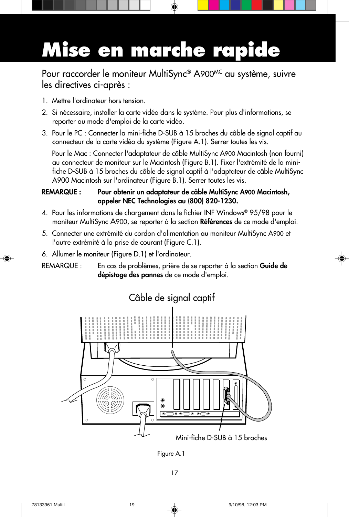# **Mise en marche rapide**

Pour raccorder le moniteur MultiSync® A900MC au système, suivre les directives ci-après :

- 1. Mettre l'ordinateur hors tension.
- 2. Si nécessaire, installer la carte vidéo dans le système. Pour plus d'informations, se reporter au mode d'emploi de la carte vidéo.
- 3. Pour le PC : Connecter la mini-fiche D-SUB à 15 broches du câble de signal captif au connecteur de la carte vidéo du système (Figure A.1). Serrer toutes les vis.

Pour le Mac : Connecter l'adaptateur de câble MultiSync A900 Macintosh (non fourni) au connecteur de moniteur sur le Macintosh (Figure B.1). Fixer l'extrémité de la minifiche D-SUB à 15 broches du câble de signal captif à l'adaptateur de câble MultiSync A900 Macintosh sur l'ordinateur (Figure B.1). Serrer toutes les vis.

#### **REMARQUE : Pour obtenir un adaptateur de câble MultiSync A900 Macintosh, appeler NEC Technologies au (800) 820-1230.**

- 4. Pour les informations de chargement dans le fichier INF Windows® 95/98 pour le moniteur MultiSync A900, se reporter à la section **Références** de ce mode d'emploi.
- 5. Connecter une extrémité du cordon d'alimentation au moniteur MultiSync A900 et l'autre extrémité à la prise de courant (Figure C.1).
- 6. Allumer le moniteur (Figure D.1) et l'ordinateur.
- REMARQUE : En cas de problèmes, prière de se reporter à la section **Guide de dépistage des pannes** de ce mode d'emploi.



### Câble de signal captif

Figure A.1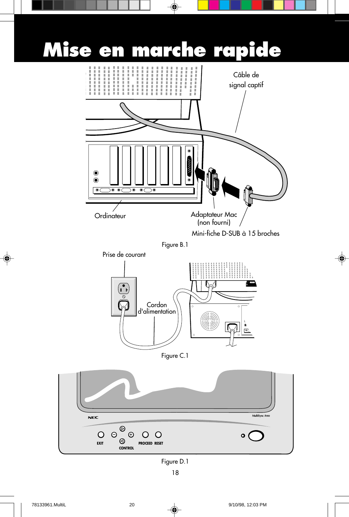

◈

 $\bf \Phi$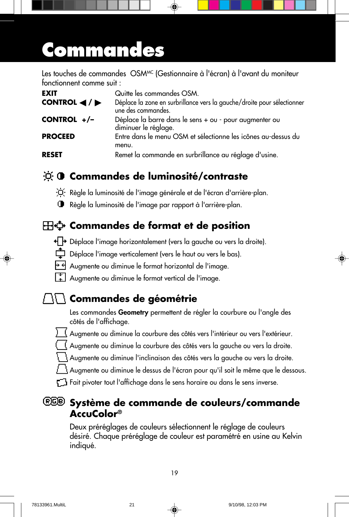## **Commandes**

Les touches de commandes OSMMC (Gestionnaire à l'écran) à l'avant du moniteur fonctionnent comme suit :

| <b>EXIT</b>                                          | Quitte les commandes OSM.                                                                     |
|------------------------------------------------------|-----------------------------------------------------------------------------------------------|
| CONTROL $\blacktriangleleft$ / $\blacktriangleright$ | Déplace la zone en surbrillance vers la gauche/droite pour sélectionner<br>une des commandes. |
| CONTROL +/-                                          | Déplace la barre dans le sens + ou - pour augmenter ou<br>diminuer le réglage.                |
| <b>PROCEED</b>                                       | Entre dans le menu OSM et sélectionne les icônes au-dessus du<br>menu.                        |
| <b>RESET</b>                                         | Remet la commande en surbrillance au réglage d'usine.                                         |

### **Commandes de luminosité/contraste**

- Règle la luminosité de l'image générale et de l'écran d'arrière-plan.
- Règle la luminosité de l'image par rapport à l'arrière-plan.

### **Commandes de format et de position**

- + + Déplace l'image horizontalement (vers la gauche ou vers la droite).
- Déplace l'image verticalement (vers le haut ou vers le bas).
- $\overline{+}\overline{+}\overline{+}$  Augmente ou diminue le format horizontal de l'image.
- Augmente ou diminue le format vertical de l'image.

### **Commandes de géométrie**

Les commandes **Geometry** permettent de régler la courbure ou l'angle des côtés de l'affichage.

- <u>) (</u> Augmente ou diminue la courbure des côtés vers l'intérieur ou vers l'extérieur.
- Augmente ou diminue la courbure des côtés vers la gauche ou vers la droite.
	- Augmente ou diminue l'inclinaison des côtés vers la gauche ou vers la droite.
	- Augmente ou diminue le dessus de l'écran pour qu'il soit le même que le dessous.
- F<sup>1</sup> Fait pivoter tout l'affichage dans le sens horaire ou dans le sens inverse.

### **Système de commande de couleurs/commande AccuColor®**

Deux préréglages de couleurs sélectionnent le réglage de couleurs désiré. Chaque préréglage de couleur est paramétré en usine au Kelvin indiqué.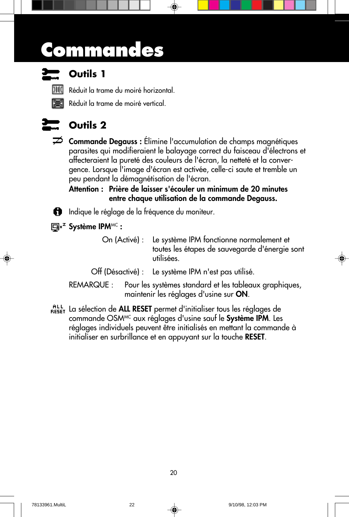## **Commandes**



### **Outils 1**

Réduit la trame du moiré horizontal.

Réduit la trame de moiré vertical.



### **Outils 2**

**Commande Degauss :** Élimine l'accumulation de champs magnétiques parasites qui modifieraient le balayage correct du faisceau d'électrons et affecteraient la pureté des couleurs de l'écran, la netteté et la convergence. Lorsque l'image d'écran est activée, celle-ci saute et tremble un peu pendant la démagnétisation de l'écran.

**Attention : Prière de laisser s'écouler un minimum de 20 minutes entre chaque utilisation de la commande Degauss.**

**in** Indique le réglage de la fréquence du moniteur.

**Système IPM**MC **:**

On (Activé) : Le système IPM fonctionne normalement et toutes les étapes de sauvegarde d'énergie sont utilisées.

Off (Désactivé) : Le système IPM n'est pas utilisé.

- REMARQUE : Pour les systèmes standard et les tableaux graphiques, maintenir les réglages d'usine sur **ON**.
- RESET La sélection de **ALL RESET** permet d'initialiser tous les réglages de commande OSMMC aux réglages d'usine sauf le **Système IPM**. Les réglages individuels peuvent être initialisés en mettant la commande à initialiser en surbrillance et en appuyant sur la touche **RESET**.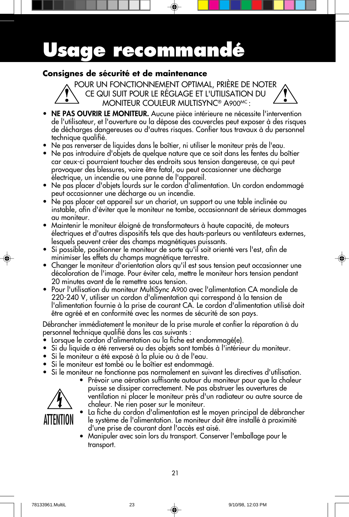## **Usage recommandé**

#### **Consignes de sécurité et de maintenance**

POUR UN FONCTIONNEMENT OPTIMAL, PRIÈRE DE NOTER CE QUI SUIT POUR LE RÉGLAGE ET L'UTILISATION DU MONITEUR COULEUR MULTISYNC® A900MC :

- **NE PAS OUVRIR LE MONITEUR.** Aucune pièce intérieure ne nécessite l'intervention de l'utilisateur, et l'ouverture ou la dépose des couvercles peut exposer à des risques de décharges dangereuses ou d'autres risques. Confier tous travaux à du personnel technique qualifié.
- **•** Ne pas renverser de liquides dans le boîtier, ni utiliser le moniteur près de l'eau.
- **•** Ne pas introduire d'objets de quelque nature que ce soit dans les fentes du boîtier car ceux-ci pourraient toucher des endroits sous tension dangereuse, ce qui peut provoquer des blessures, voire être fatal, ou peut occasionner une décharge électrique, un incendie ou une panne de l'appareil.
- **•** Ne pas placer d'objets lourds sur le cordon d'alimentation. Un cordon endommagé peut occasionner une décharge ou un incendie.
- **•** Ne pas placer cet appareil sur un chariot, un support ou une table inclinée ou instable, afin d'éviter que le moniteur ne tombe, occasionnant de sérieux dommages au moniteur.
- **•** Maintenir le moniteur éloigné de transformateurs à haute capacité, de moteurs électriques et d'autres dispositifs tels que des hauts-parleurs ou ventilateurs externes, lesquels peuvent créer des champs magnétiques puissants.
- **•** Si possible, positionner le moniteur de sorte qu'il soit orienté vers l'est, afin de minimiser les effets du champs magnétique terrestre.
- **•** Changer le moniteur d'orientation alors qu'il est sous tension peut occasionner une décoloration de l'image. Pour éviter cela, mettre le moniteur hors tension pendant 20 minutes avant de le remettre sous tension.
- **•** Pour l'utilisation du moniteur MultiSync A900 avec l'alimentation CA mondiale de 220-240 V, utiliser un cordon d'alimentation qui correspond à la tension de l'alimentation fournie à la prise de courant CA. Le cordon d'alimentation utilisé doit être agréé et en conformité avec les normes de sécurité de son pays.

Débrancher immédiatement le moniteur de la prise murale et confier la réparation à du personnel technique qualifié dans les cas suivants :

- **•** Lorsque le cordon d'alimentation ou la fiche est endommagé(e).
- **•** Si du liquide a été renversé ou des objets sont tombés à l'intérieur du moniteur.
- **•** Si le moniteur a été exposé à la pluie ou à de l'eau.
- **•** Si le moniteur est tombé ou le boîtier est endommagé.
- **•** Si le moniteur ne fonctionne pas normalement en suivant les directives d'utilisation.



- **•** Prévoir une aération suffisante autour du moniteur pour que la chaleur puisse se dissiper correctement. Ne pas obstruer les ouvertures de ventilation ni placer le moniteur près d'un radiateur ou autre source de chaleur. Ne rien poser sur le moniteur.
- **•** La fiche du cordon d'alimentation est le moyen principal de débrancher le système de l'alimentation. Le moniteur doit être installé à proximité d'une prise de courant dont l'accès est aisé.
- **•** Manipuler avec soin lors du transport. Conserver l'emballage pour le transport.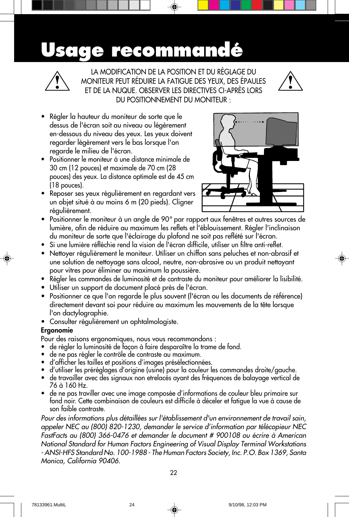### **Usage recommandé**



LA MODIFICATION DE LA POSITION ET DU RÉGLAGE DU MONITEUR PEUT RÉDUIRE LA FATIGUE DES YEUX, DES ÉPAULES ET DE LA NUQUE. OBSERVER LES DIRECTIVES CI-APRÈS LORS DU POSITIONNEMENT DU MONITEUR :



- **•** Régler la hauteur du moniteur de sorte que le dessus de l'écran soit au niveau ou légèrement en-dessous du niveau des yeux. Les yeux doivent regarder légèrement vers le bas lorsque l'on regarde le milieu de l'écran.
- **•** Positionner le moniteur à une distance minimale de 30 cm (12 pouces) et maximale de 70 cm (28 pouces) des yeux. La distance optimale est de 45 cm (18 pouces).
- **•** Reposer ses yeux régulièrement en regardant vers un objet situé à au moins 6 m (20 pieds). Cligner régulièrement.



- **•** Positionner le moniteur à un angle de 90° par rapport aux fenêtres et autres sources de lumière, afin de réduire au maximum les reflets et l'éblouissement. Régler l'inclinaison du moniteur de sorte que l'éclairage du plafond ne soit pas reflété sur l'écran.
- **•** Si une lumière réfléchie rend la vision de l'écran difficile, utiliser un filtre anti-reflet.
- **•** Nettoyer régulièrement le moniteur. Utiliser un chiffon sans peluches et non-abrasif et une solution de nettoyage sans alcool, neutre, non-abrasive ou un produit nettoyant pour vitres pour éliminer au maximum la poussière.
- **•** Régler les commandes de luminosité et de contraste du moniteur pour améliorer la lisibilité.
- **•** Utiliser un support de document placé près de l'écran.
- **•** Positionner ce que l'on regarde le plus souvent (l'écran ou les documents de référence) directement devant soi pour réduire au maximum les mouvements de la tête lorsque l'on dactylographie.
- **•** Consulter régulièrement un ophtalmologiste.

#### **Ergonomie**

Pour des raisons ergonomiques, nous vous recommandons :

- de régler la luminosité de façon à faire desparaître la trame de fond.
- de ne pas régler le contröle de contraste au maximum.
- d'afficher les tailles et positions d'images présélectionnées.
- d'utiliser les préréglages d'origine (usine) pour la couleur les commandes droite/gauche.
- de travailler avec des signaux non etrelacés ayant des fréquences de balayage vertical de 76 à 160 Hz.
- de ne pas traviller avec une image composée d'informations de couleur bleu primaire sur fond noir. Cette combinaison de couleurs est difficile à déceler et fatigue la vue à cause de son faible contraste.

Pour des informations plus détaillées sur l'établissement d'un environnement de travail sain, appeler NEC au (800) 820-1230, demander le service d'information par télécopieur NEC FastFacts au (800) 366-0476 et demander le document # 900108 ou écrire à American National Standard for Human Factors Engineering of Visual Display Terminal Workstations - ANSI-HFS Standard No. 100-1988 - The Human Factors Society, Inc. P.O. Box 1369, Santa Monica, California 90406.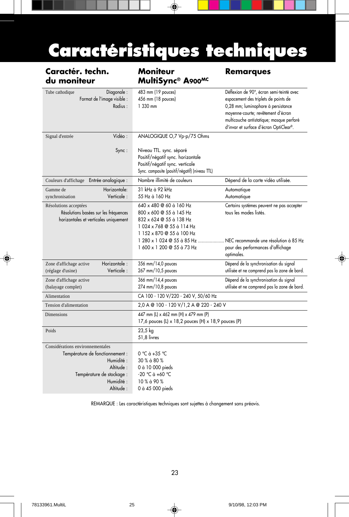## **Caractéristiques techniques**

⊕

| Caractér. techn.<br>du moniteur                                                                                                                      | <b>Moniteur</b><br>MultiSync® A900MC                                                                                                                                              | <b>Remarques</b>                                                                                                                                                                                                                                   |
|------------------------------------------------------------------------------------------------------------------------------------------------------|-----------------------------------------------------------------------------------------------------------------------------------------------------------------------------------|----------------------------------------------------------------------------------------------------------------------------------------------------------------------------------------------------------------------------------------------------|
| Diagonale:<br>Tube cathodique<br>Format de l'image visible :<br>Radius:                                                                              | 483 mm (19 pouces)<br>456 mm (18 pouces)<br>1 330 mm                                                                                                                              | Déflexion de 90°, écran semi-teinté avec<br>espacement des triplets de points de<br>0,28 mm; luminophore à persistance<br>moyenne-courte; revêtement d'écran<br>multicouche antistatique; masque perforé<br>d'invar et surface d'écran OptiClear®. |
| Vidéo:<br>Signal d'entrée<br>$Sync$ :                                                                                                                | ANALOGIQUE O,7 Vp-p/75 Ohms<br>Niveau TTL. sync. séparé<br>Positif/négatif sync. horizontale<br>Positif/négatif sync. verticale<br>Sync. composite (positif/négatif) (niveau TTL) |                                                                                                                                                                                                                                                    |
| Couleurs d'affichage Entrée analogique :                                                                                                             | Nombre illimité de couleurs                                                                                                                                                       | Dépend de la carte vidéo utilisée.                                                                                                                                                                                                                 |
| Horizontale:<br>Gamme de<br>Verticale:<br>synchronisation                                                                                            | 31 kHz à 92 kHz<br>55 Hz à 160 Hz                                                                                                                                                 | Automatique<br>Automatique                                                                                                                                                                                                                         |
| Résolutions acceptées<br>Résolutions basées sur les fréquences<br>horizontales et verticales uniquement                                              | 640 x 480 @ 60 à 160 Hz<br>800 x 600 @ 55 à 145 Hz<br>832 x 624 @ 55 à 138 Hz<br>1024 x 768 @ 55 à 114 Hz<br>1 152 x 870 @ 55 à 100 Hz                                            | Certains systèmes peuvent ne pas accepter<br>tous les modes listés.                                                                                                                                                                                |
|                                                                                                                                                      | 1 280 x 1 024 @ 55 à 85 Hz<br>1 600 x 1 200 @ 55 à 73 Hz                                                                                                                          | NEC recommande une résolution à 85 Hz<br>pour des performances d'affichage<br>optimales.                                                                                                                                                           |
| Horizontale:<br>Zone d'affichage active<br>Verticale:<br>(réglage d'usine)                                                                           | 356 mm/14,0 pouces<br>267 mm/10,5 pouces                                                                                                                                          | Dépend de la synchronisation du signal<br>utilisée et ne comprend pas la zone de bord.                                                                                                                                                             |
| Zone d'affichage active<br>(balayage complet)                                                                                                        | 366 mm/14,4 pouces<br>274 mm/10,8 pouces                                                                                                                                          | Dépend de la synchronisation du signal<br>utilisée et ne comprend pas la zone de bord.                                                                                                                                                             |
| Alimentation                                                                                                                                         | CA 100 - 120 V/220 - 240 V, 50/60 Hz                                                                                                                                              |                                                                                                                                                                                                                                                    |
| Tension d'alimentation                                                                                                                               | 2,0 A @ 100 - 120 V/1,2 A @ 220 - 240 V                                                                                                                                           |                                                                                                                                                                                                                                                    |
| <b>Dimensions</b>                                                                                                                                    | 447 mm (L) x 462 mm (H) x 479 mm (P)<br>17,6 pouces (L) x 18,2 pouces (H) x 18,9 pouces (P)                                                                                       |                                                                                                                                                                                                                                                    |
| Poids                                                                                                                                                | 23,5 kg<br>51,8 livres                                                                                                                                                            |                                                                                                                                                                                                                                                    |
| Considérations environnementales<br>Température de fonctionnement :<br>Humidité:<br>Altitude:<br>Température de stockage :<br>Humidité:<br>Altitude: | $0 °C \dot{a} + 35 °C$<br>30 % à 80 %<br>0 à 10 000 pieds<br>-20 °C à +60 °C<br>10 % à 90 %<br>0 à 45 000 pieds                                                                   |                                                                                                                                                                                                                                                    |

REMARQUE : Les caractéristiques techniques sont sujettes à changement sans préavis.

◈

 $\bigcirc$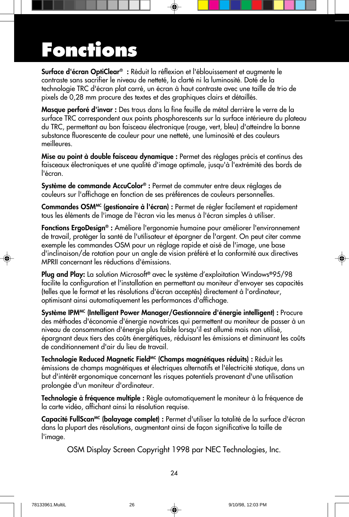## **Fonctions**

**Surface d'écran OptiClear® :** Réduit la réflexion et l'éblouissement et augmente le contraste sans sacrifier le niveau de netteté, la clarté ni la luminosité. Doté de la technologie TRC d'écran plat carré, un écran à haut contraste avec une taille de trio de pixels de 0,28 mm procure des textes et des graphiques clairs et détaillés.

**Masque perforé d'invar :** Des trous dans la fine feuille de métal derrière le verre de la surface TRC correspondent aux points phosphorescents sur la surface intérieure du plateau du TRC, permettant au bon faisceau électronique (rouge, vert, bleu) d'atteindre la bonne substance fluorescente de couleur pour une netteté, une luminosité et des couleurs meilleures.

**Mise au point à double faisceau dynamique :** Permet des réglages précis et continus des faisceaux électroniques et une qualité d'image optimale, jusqu'à l'extrémité des bords de l'écran.

**Système de commande AccuColor® :** Permet de commuter entre deux réglages de couleurs sur l'affichage en fonction de ses préférences de couleurs personnelles.

**Commandes OSMMC (gestionaire à l'écran) :** Permet de régler facilement et rapidement tous les éléments de l'image de l'écran via les menus à l'écran simples à utiliser.

**Fonctions ErgoDesign® :** Améliore l'ergonomie humaine pour améliorer l'environnement de travail, protéger la santé de l'utilisateur et épargner de l'argent. On peut citer comme exemple les commandes OSM pour un réglage rapide et aisé de l'image, une base d'inclinaison/de rotation pour un angle de vision préféré et la conformité aux directives MPRII concernant les réductions d'émissions.

**Plug and Play:** La solution Microsoft**®** avec le système d'exploitation Windows**®**95/98 facilite la configuration et l'installation en permettant au moniteur d'envoyer ses capacités (telles que le format et les résolutions d'écran acceptés) directement à l'ordinateur, optimisant ainsi automatiquement les performances d'affichage.

**Système IPMMC (Intelligent Power Manager/Gestionnaire d'énergie intelligent) :** Procure des méthodes d'économie d'énergie novatrices qui permettent au moniteur de passer à un niveau de consommation d'énergie plus faible lorsqu'il est allumé mais non utilisé, épargnant deux tiers des coûts énergétiques, réduisant les émissions et diminuant les coûts de conditionnement d'air du lieu de travail.

Technologie Reduced Magnetic Field<sup>MC</sup> (Champs magnétiques réduits) : Réduit les émissions de champs magnétiques et électriques alternatifs et l'électricité statique, dans un but d'intérêt ergonomique concernant les risques potentiels provenant d'une utilisation prolongée d'un moniteur d'ordinateur.

**Technologie à fréquence multiple :** Règle automatiquement le moniteur à la fréquence de la carte vidéo, affichant ainsi la résolution requise.

Capacité FullScan<sup>MC</sup> (balayage complet) : Permet d'utiliser la totalité de la surface d'écran dans la plupart des résolutions, augmentant ainsi de façon significative la taille de l'image.

OSM Display Screen Copyright 1998 par NEC Technologies, Inc.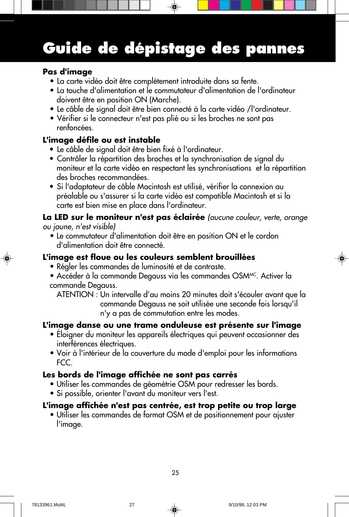### **Guide de dépistage des pannes**

#### **Pas d'image**

- La carte vidéo doit être complètement introduite dans sa fente.
- La touche d'alimentation et le commutateur d'alimentation de l'ordinateur doivent être en position ON (Marche).
- Le câble de signal doit être bien connecté à la carte vidéo /l'ordinateur.
- Vérifier si le connecteur n'est pas plié ou si les broches ne sont pas renfoncées.

#### **L'image défile ou est instable**

- Le câble de signal doit être bien fixé à l'ordinateur.
- Contrôler la répartition des broches et la synchronisation de signal du moniteur et la carte vidéo en respectant les synchronisations et la répartition des broches recommandées.
- Si l'adaptateur de câble Macintosh est utilisé, vérifier la connexion au préalable ou s'assurer si la carte vidéo est compatible Macintosh et si la carte est bien mise en place dans l'ordinateur.

#### **La LED sur le moniteur n'est pas éclairée** (aucune couleur, verte, orange ou jaune, n'est visible)

• Le commutateur d'alimentation doit être en position ON et le cordon d'alimentation doit être connecté.

#### **L'image est floue ou les couleurs semblent brouillées**

- Régler les commandes de luminosité et de contraste.
- Accéder à la commande Degauss via les commandes OSMMC. Activer la commande Degauss.
	- ATENTION : Un intervalle d'au moins 20 minutes doit s'écouler avant que la commande Degauss ne soit utilisée une seconde fois lorsqu'il n'y a pas de commutation entre les modes.

#### **L'image danse ou une trame onduleuse est présente sur l'image**

- Éloigner du moniteur les appareils électriques qui peuvent occasionner des interférences électriques.
- Voir à l'intérieur de la couverture du mode d'emploi pour les informations FCC.

#### **Les bords de l'image affichée ne sont pas carrés**

- Utiliser les commandes de géométrie OSM pour redresser les bords.
- Si possible, orienter l'avant du moniteur vers l'est.

#### **L'image affichée n'est pas centrée, est trop petite ou trop large**

• Utiliser les commandes de format OSM et de positionnement pour ajuster l'image.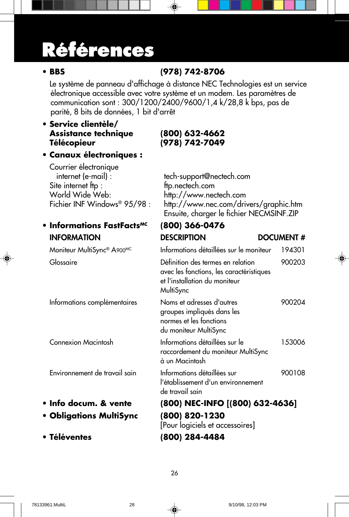## **Références**

### **• BBS (978) 742-8706**

Le système de panneau d'affichage à distance NEC Technologies est un service électronique accessible avec votre système et un modem. Les paramètres de communication sont : 300/1200/2400/9600/1,4 k/28,8 k bps, pas de parité, 8 bits de données, 1 bit d'arrêt

#### **• Service clientèle/ Assistance technique (800) 632-4662 Télécopieur (978) 742-7049**

**• Canaux électroniques :**

| Courrier électronique<br>internet (e-mail) :<br>Site internet ftp:<br>World Wide Web:<br>Fichier INF Windows® 95/98 : | tech-support@nectech.com<br>ftp.nectech.com<br>http://www.nectech.com<br>http://www.nec.com/drivers/graphic.htm<br>Ensuite, charger le fichier NECMSINF.ZIP |                  |
|-----------------------------------------------------------------------------------------------------------------------|-------------------------------------------------------------------------------------------------------------------------------------------------------------|------------------|
| • Informations FastFacts <sup>MC</sup>                                                                                | (800) 366-0476                                                                                                                                              |                  |
| <b>INFORMATION</b>                                                                                                    | <b>DESCRIPTION</b>                                                                                                                                          | <b>DOCUMENT#</b> |
| Moniteur MultiSync® A900MC                                                                                            | Informations détaillées sur le moniteur                                                                                                                     | 194301           |
| Glossaire                                                                                                             | Définition des termes en relation<br>avec les fonctions, les caractéristiques<br>et l'installation du moniteur<br>MultiSync                                 | 900203           |
| Informations complémentaires                                                                                          | Noms et adresses d'autres<br>groupes impliqués dans les<br>normes et les fonctions<br>du moniteur MultiSync                                                 | 900204           |
| Connexion Macintosh                                                                                                   | Informations détaillées sur le<br>raccordement du moniteur MultiSync<br>à un Macintosh                                                                      | 153006           |
| Environnement de travail sain                                                                                         | Informations détaillées sur<br>l'établissement d'un environnement<br>de travail sain                                                                        | 900108           |
| · Info docum. & vente                                                                                                 | (800) NEC-INFO [(800) 632-4636]                                                                                                                             |                  |
|                                                                                                                       |                                                                                                                                                             |                  |

- **Obligations MultiSync (800) 820-1230**
- **Téléventes (800) 284-4484**

[Pour logiciels et accessoires]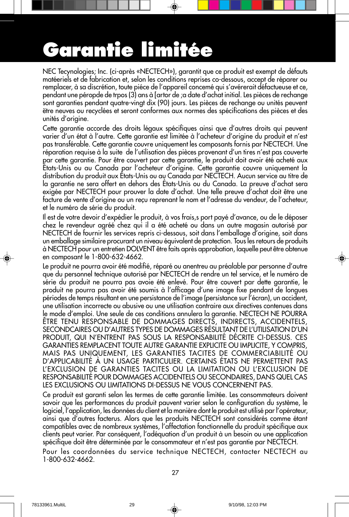# **Garantie limitée**

NEC Tecynologies; Inc. (ci-après «NECTECH»), garantit que ce produit est exempt de défauts matéeriels et de fabrication et, selon les conditions reprises co-dessous, accept de réparer ou remplacer, à sa discrétion, toute piéce de l'appareil concemé qui s'avérerait défactueuse et ce, pendant une péropde de trpos (3) ans à [artor de ;a date d'achat initial. Les pièces de rechange sont garanties pendant quatre-vingt dix (90) jours. Les pièces de rechange ou unités peuvent ëtre neuves ou recyclées et seront conformes aux normes des spécifications des pièces et des unités d'origine.

Cette garantie accorde des droits légaux spécifiques ainsi que d'autres droits qui peuvent varier d'un état à l'autre. Cette garantie est limitée à l'acheteur d'origine du produit et n'est pas transférable. Cette garantie couvre uniquement les composants fornis par NECTECH. Une réparation requise à la suite de l'utilisation des pièces provenant d'un tires n'est pas couverte par cette garantie. Pour être couvert par cette garantie, le produit doit avoir été acheté aux États-Unis ou au Canada par l'acheteur d'origine. Cette garantie couvre uniquement la distribution du produit aux États-Unis ou au Canada par NECTECH. Aucun service au titre de la garantie ne sera offert en dehors des États-Unis ou du Canada. La preuve d'achat sera exigée par NECTECH pour prouver la date d'achat. Une telle preuve d'achat doit être une facture de vente d'origine ou un reçu reprenant le nom et l'adresse du vendeur, de l'acheteur, et le numéro de série du produit.

Il est de votre devoir d'expédier le produit, à vos frais,s port payé d'avance, ou de le déposer chez le revendeur agréé chez qui il a été acheté ou dans un autre magasin autorisé par NECTECH de fournir les services repris ci-dessous, soit dans l'emballage d'origine, soit dans un emballage similaire procurant un niveau équivalent de protection. Tous les retours de produits à NECTECH pour un entretien DOLVENT être faits après approbation, laquelle peut être obtenue en composant le 1-800-632-4662.

Le produit ne pourra avoir été modifié, réparé ou anentreu au préalable par personne d'autre que du personnel technique autorisé par NECTECH de rendre un tel service, et le numéro de série du produit ne pourra pas avoie été enlevé. Pour être couvert par dette garantie, le produit ne pourra pas avoir été soumis à l'afficage d'une image fixe pendant de longues périodes de temps résultant en une persistance de l'image (persistance sur l'écran), un accident, une utilisation incorrecte ou abusive ou une utilisation contraire aux directives contenues dans le mode d'emploi. Une seule de ces conditions annulera la garantie. NECTECH NE POURRA ÊTRE TENU RESPONSABLE DE DOMMAGES DIRECTS, INDIRECTS, ACCIDENTELS, SECONDCAIRES OU D'AUTRES TYPES DE DOMMAGES RÉSULTANT DE L'UTILISATION D'UN PRODUIT, QUI N'ENTRENT PAS SOUS LA RESPONSABILITÉ DÉCRITE CI-DESSUS. CES GARANTIES REMPLACENT TOUTE AUTRE GARANTIE EXPLICITE OU IMPLICITE, Y COMPRIS, MAIS PAS UNIQUEMENT, LES GARANTIES TACITES DE COMMERCIABILITÉ OU D'APPLICABILITÉ À UN USAGE PARTICULIER. CERTAINS ÉTATS NE PERMETTENT PAS L'EXCLUSION DE GARANTIES TACITES OU LA LIMITATION OU L'EXCLUSION DE RESPONSABILITÉ POUR DOMMAGES ACCIDENTELS OU SECONDAIRES, DANS QUEL CAS LES EXCLUSIONS OU LIMITATIONS DI-DESSUS NE VOUS CONCERNENT PAS.

Ce produit est garanti selon les termes de cette garantie limitée. Les consommateurs doivent savoir que les performances du produit pauvent varier selon le configuration du système, le logiciel, l'application, les données du client et la manière dont le produit est utilisé par l'opérateur, ainsi que d'autres facterus. Alors que les produits NECTECH sont considérés comme étant compatibles avec de nombreux systèmes, l'affectation fonctionnelle du produit spécifique aux clients peut varier. Par conséquent, l'adéquation d'un produit à un besoin ou une application spécifique doit être déterminée par le consommateur et n'est pas garantie par NECTECH. Pour les coordonnées du service technique NECTECH, contacter NECTECH au 1-800-632-4662.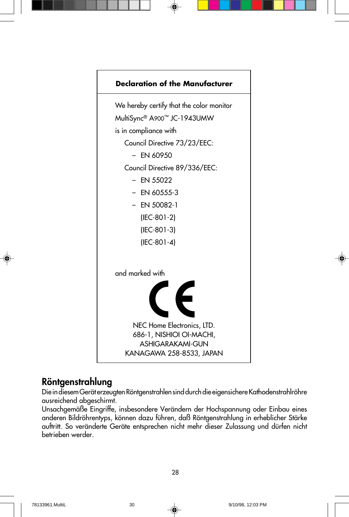

### **Röntgenstrahlung**

Die in diesem Gerät erzeugten Röntgenstrahlen sind durch die eigensichere Kathodenstrahlröhre ausreichend abgeschirmt.

Unsachgemäße Eingriffe, insbesondere Verändern der Hochspannung oder Einbau eines anderen Bildröhrentyps, können dazu führen, daß Röntgenstrahlung in erheblicher Stärke auftritt. So veränderte Geräte entsprechen nicht mehr dieser Zulassung und dürfen nicht betrieben werder.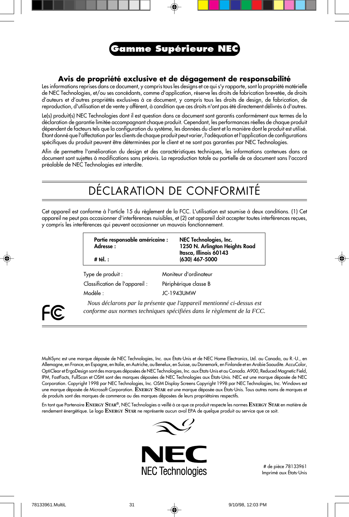

#### **Avis de propriété exclusive et de dégagement de responsabilité**

Les informations reprises dans ce document, y compris tous les designs et ce qui s'y rapporte, sont la propriété matérielle de NEC Technologies, et/ou ses concédants, comme d'application, réserve les droits de fabrication brevetée, de droits d'auteurs et d'autres propriétés exclusives à ce document, y compris tous les droits de design, de fabrication, de reproduction, d'utilisation et de vente y afférent, à condition que ces droits n'ont pas été directement délivrés à d'autres.

Le(s) produit(s) NEC Technologies dont il est question dans ce document sont garantis conformément aux termes de la déclaration de garantie limitée accompagnant chaque produit. Cependant, les performances réelles de chaque produit dépendent de facteurs tels que la configuration du système, les données du client et la manière dont le produit est utilisé. Étant donné que l'affectation par les clients de chaque produit peut varier, l'adéquation et l'application de configurations spécifiques du produit peuvent être déterminées par le client et ne sont pas garanties par NEC Technologies.

Afin de permettre l'amélioration du design et des caractéristiques techniques, les informations contenues dans ce document sont sujettes à modifications sans préavis. La reproduction totale ou partielle de ce document sans l'accord préalable de NEC Technologies est interdite.

### DÉCLARATION DE CONFORMITÉ

Cet appareil est conforme à l'article 15 du règlement de la FCC. L'utilisation est soumise à deux conditions. (1) Cet appareil ne peut pas occasionner d'interférences nuisibles, et (2) cet appareil doit accepter toutes interférences reçues, y compris les interférences qui peuvent occasionner un mauvais fonctionnement.

| Partie responsable américaine : | NEC Technologies, Inc.                   |
|---------------------------------|------------------------------------------|
| Adresse:                        | 1250 N. Arlington Heights Road           |
| # tél. :                        | Itasca, Illinois 60143<br>(630) 467-5000 |

Type de produit : Moniteur d'ordinateur Classification de l'appareil : Périphérique classe B Modèle : JC-1943UMW



*Nous déclarons par la présente que l'appareil mentionné ci-dessus est conforme aux normes techniques spécifiées dans le règlement de la FCC.*

MultiSync est une marque déposée de NEC Technologies, Inc. aux États-Unis et de NEC Home Electronics, Ltd. au Canada, au R.-U., en Allemagne, en France, en Espagne, en Italie, en Autriche, au Benelux, en Suisse, au Danemark, en Finlande et en Arabie Saoudite. AccuColor, OptiClear et ErgoDesign sont des marques déposées de NEC Technologies, Inc. aux États-Unis et au Canada. A900, Reduced Magnetic Field, IPM, FastFacts, FullScan et OSM sont des marques déposées de NEC Technologies aux États-Unis. NEC est une marque déposée de NEC Corporation. Copyright 1998 par NEC Technologies, Inc. OSM Display Screens Copyright 1998 par NEC Technologies, Inc. Windows est une marque déposée de Microsoft Corporation. **ENERGY STAR** est une marque déposée aux États-Unis. Tous autres noms de marques et de produits sont des marques de commerce ou des marques déposées de leurs propriétaires respectifs.

En tant que Partenaire **ENERGY STAR®**, NEC Technologies a veillé à ce que ce produit respecte les normes **ENERGY STAR** en matière de rendement énergétique. Le logo **ENERGY STAR** ne représente aucun aval EPA de quelque produit ou service que ce soit.



# de pièce 78133961 Imprimé aux États-Unis